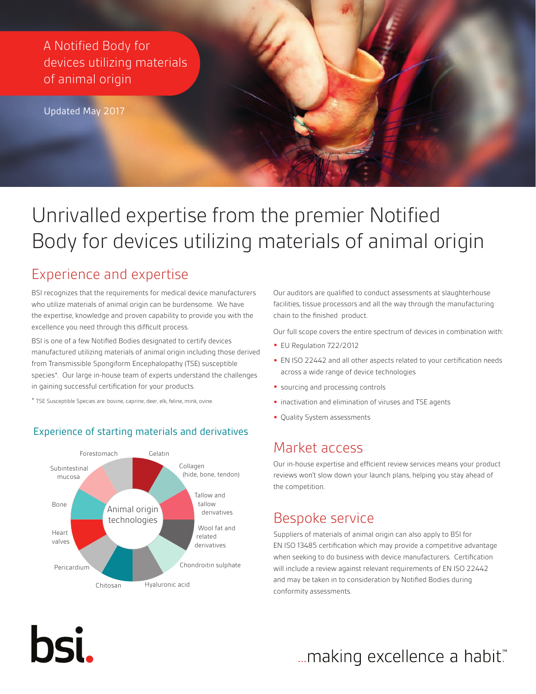A Notified Body for devices utilizing materials of animal origin

Updated May 2017

# Unrivalled expertise from the premier Notified Body for devices utilizing materials of animal origin

#### Experience and expertise

BSI recognizes that the requirements for medical device manufacturers who utilize materials of animal origin can be burdensome. We have the expertise, knowledge and proven capability to provide you with the excellence you need through this difficult process.

BSI is one of a few Notified Bodies designated to certify devices manufactured utilizing materials of animal origin including those derived from Transmissible Spongiform Encephalopathy (TSE) susceptible species\*. Our large in-house team of experts understand the challenges in gaining successful certification for your products.

\* TSE Susceptible Species are: bovine, caprine, deer, elk, feline, mink, ovine.

hsi.

#### Experience of starting materials and derivatives



Our auditors are qualified to conduct assessments at slaughterhouse facilities, tissue processors and all the way through the manufacturing chain to the finished product.

Our full scope covers the entire spectrum of devices in combination with:

- **•** EU Regulation 722/2012
- **•** EN ISO 22442 and all other aspects related to your certification needs across a wide range of device technologies
- **•** sourcing and processing controls
- **•** inactivation and elimination of viruses and TSE agents
- **•** Quality System assessments

#### Market access

Our in-house expertise and efficient review services means your product reviews won't slow down your launch plans, helping you stay ahead of the competition.

#### Bespoke service

Suppliers of materials of animal origin can also apply to BSI for EN ISO 13485 certification which may provide a competitive advantage when seeking to do business with device manufacturers. Certification will include a review against relevant requirements of EN ISO 22442 and may be taken in to consideration by Notified Bodies during conformity assessments.

## ... making excellence a habit."